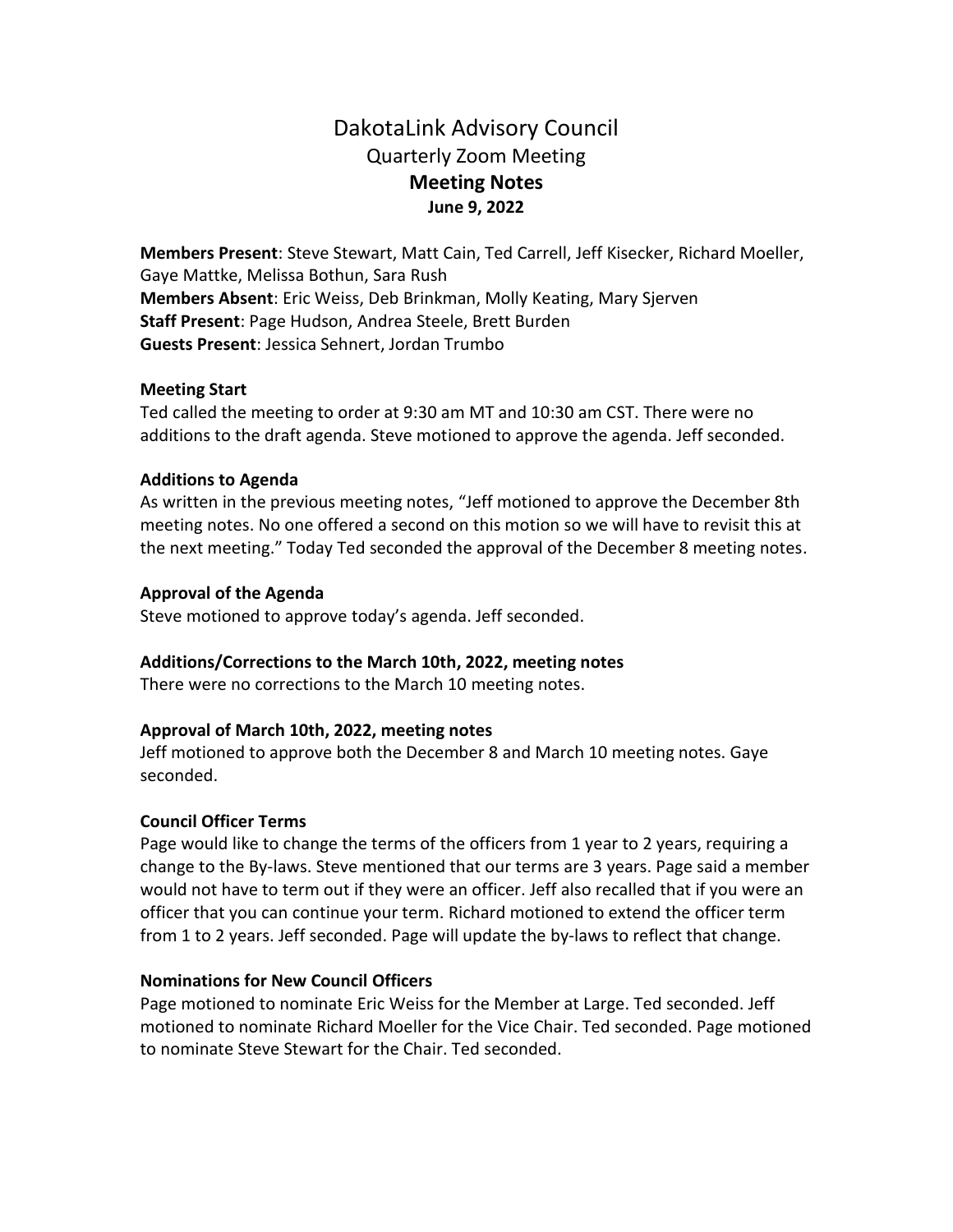# DakotaLink Advisory Council Quarterly Zoom Meeting **Meeting Notes June 9, 2022**

**Members Present**: Steve Stewart, Matt Cain, Ted Carrell, Jeff Kisecker, Richard Moeller, Gaye Mattke, Melissa Bothun, Sara Rush **Members Absent**: Eric Weiss, Deb Brinkman, Molly Keating, Mary Sjerven **Staff Present**: Page Hudson, Andrea Steele, Brett Burden **Guests Present**: Jessica Sehnert, Jordan Trumbo

# **Meeting Start**

Ted called the meeting to order at 9:30 am MT and 10:30 am CST. There were no additions to the draft agenda. Steve motioned to approve the agenda. Jeff seconded.

## **Additions to Agenda**

As written in the previous meeting notes, "Jeff motioned to approve the December 8th meeting notes. No one offered a second on this motion so we will have to revisit this at the next meeting." Today Ted seconded the approval of the December 8 meeting notes.

## **Approval of the Agenda**

Steve motioned to approve today's agenda. Jeff seconded.

# **Additions/Corrections to the March 10th, 2022, meeting notes**

There were no corrections to the March 10 meeting notes.

# **Approval of March 10th, 2022, meeting notes**

Jeff motioned to approve both the December 8 and March 10 meeting notes. Gaye seconded.

#### **Council Officer Terms**

Page would like to change the terms of the officers from 1 year to 2 years, requiring a change to the By-laws. Steve mentioned that our terms are 3 years. Page said a member would not have to term out if they were an officer. Jeff also recalled that if you were an officer that you can continue your term. Richard motioned to extend the officer term from 1 to 2 years. Jeff seconded. Page will update the by-laws to reflect that change.

#### **Nominations for New Council Officers**

Page motioned to nominate Eric Weiss for the Member at Large. Ted seconded. Jeff motioned to nominate Richard Moeller for the Vice Chair. Ted seconded. Page motioned to nominate Steve Stewart for the Chair. Ted seconded.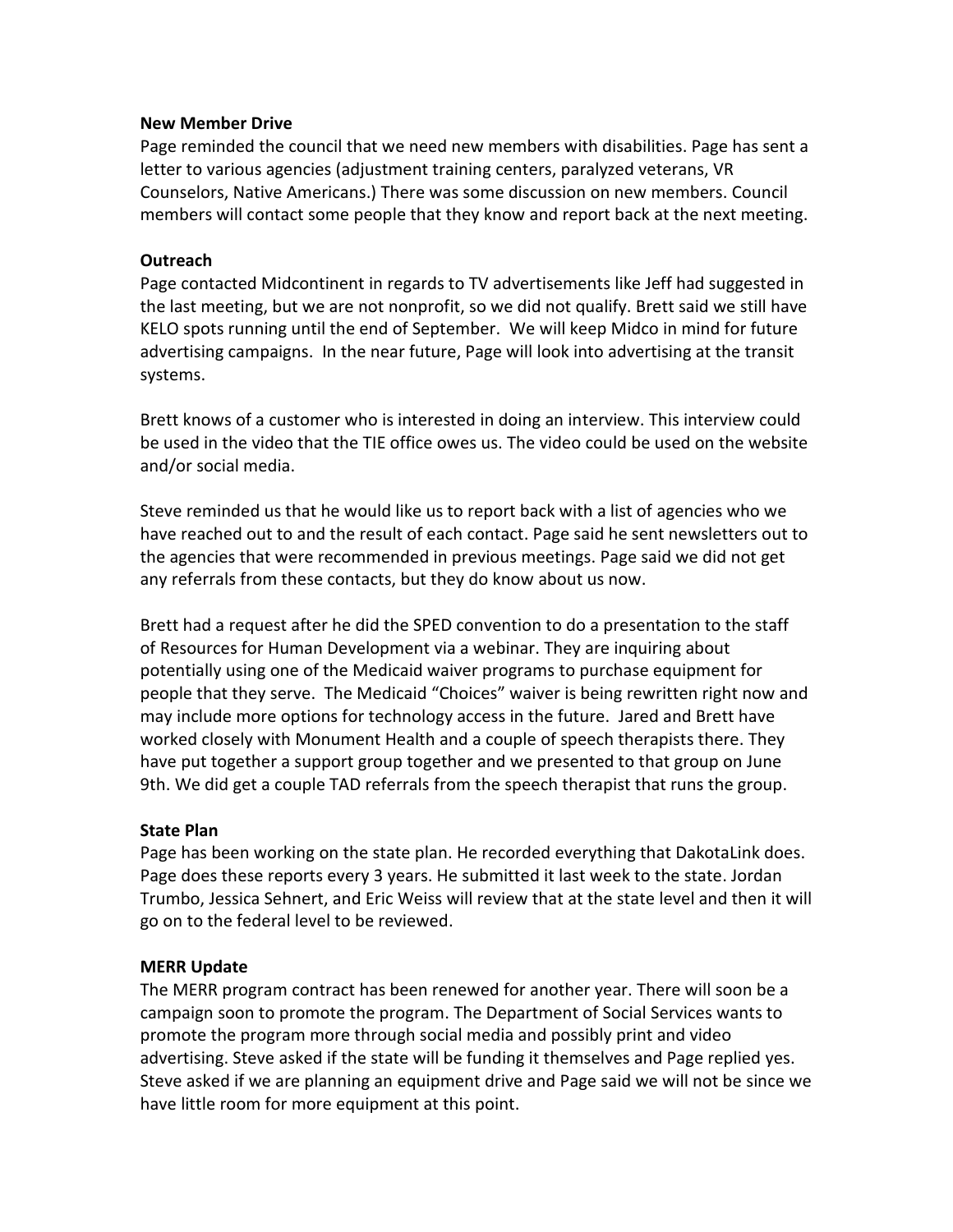## **New Member Drive**

Page reminded the council that we need new members with disabilities. Page has sent a letter to various agencies (adjustment training centers, paralyzed veterans, VR Counselors, Native Americans.) There was some discussion on new members. Council members will contact some people that they know and report back at the next meeting.

## **Outreach**

Page contacted Midcontinent in regards to TV advertisements like Jeff had suggested in the last meeting, but we are not nonprofit, so we did not qualify. Brett said we still have KELO spots running until the end of September. We will keep Midco in mind for future advertising campaigns. In the near future, Page will look into advertising at the transit systems.

Brett knows of a customer who is interested in doing an interview. This interview could be used in the video that the TIE office owes us. The video could be used on the website and/or social media.

Steve reminded us that he would like us to report back with a list of agencies who we have reached out to and the result of each contact. Page said he sent newsletters out to the agencies that were recommended in previous meetings. Page said we did not get any referrals from these contacts, but they do know about us now.

Brett had a request after he did the SPED convention to do a presentation to the staff of Resources for Human Development via a webinar. They are inquiring about potentially using one of the Medicaid waiver programs to purchase equipment for people that they serve. The Medicaid "Choices" waiver is being rewritten right now and may include more options for technology access in the future. Jared and Brett have worked closely with Monument Health and a couple of speech therapists there. They have put together a support group together and we presented to that group on June 9th. We did get a couple TAD referrals from the speech therapist that runs the group.

# **State Plan**

Page has been working on the state plan. He recorded everything that DakotaLink does. Page does these reports every 3 years. He submitted it last week to the state. Jordan Trumbo, Jessica Sehnert, and Eric Weiss will review that at the state level and then it will go on to the federal level to be reviewed.

# **MERR Update**

The MERR program contract has been renewed for another year. There will soon be a campaign soon to promote the program. The Department of Social Services wants to promote the program more through social media and possibly print and video advertising. Steve asked if the state will be funding it themselves and Page replied yes. Steve asked if we are planning an equipment drive and Page said we will not be since we have little room for more equipment at this point.